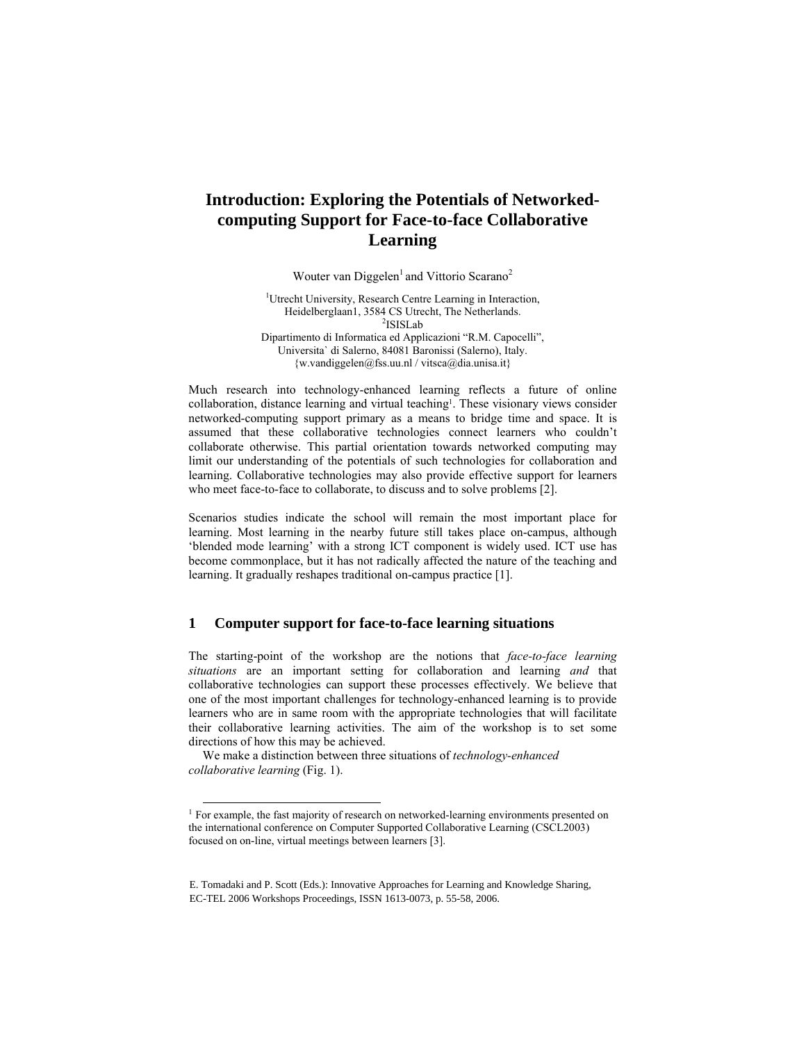# **Introduction: Exploring the Potentials of Networkedcomputing Support for Face-to-face Collaborative Learning**

Wouter van Diggelen<sup>1</sup> and Vittorio Scarano<sup>2</sup>

<sup>1</sup>Utrecht University, Research Centre Learning in Interaction, Heidelberglaan1, 3584 CS Utrecht, The Netherlands. 2 <sup>2</sup>ISISLab Dipartimento di Informatica ed Applicazioni "R.M. Capocelli", Universita` di Salerno, 84081 Baronissi (Salerno), Italy. {w.vandiggelen@fss.uu.nl / vitsca@dia.unisa.it}

Much research into technology-enhanced learning reflects a future of online collaboration, distance learning and virtual teaching<sup>1</sup>. These visionary views consider networked-computing support primary as a means to bridge time and space. It is assumed that these collaborative technologies connect learners who couldn't collaborate otherwise. This partial orientation towards networked computing may limit our understanding of the potentials of such technologies for collaboration and learning. Collaborative technologies may also provide effective support for learners who meet face-to-face to collaborate, to discuss and to solve problems [2].

Scenarios studies indicate the school will remain the most important place for learning. Most learning in the nearby future still takes place on-campus, although 'blended mode learning' with a strong ICT component is widely used. ICT use has become commonplace, but it has not radically affected the nature of the teaching and learning. It gradually reshapes traditional on-campus practice [1].

## **1 Computer support for face-to-face learning situations**

The starting-point of the workshop are the notions that *face-to-face learning situations* are an important setting for collaboration and learning *and* that collaborative technologies can support these processes effectively. We believe that one of the most important challenges for technology-enhanced learning is to provide learners who are in same room with the appropriate technologies that will facilitate their collaborative learning activities. The aim of the workshop is to set some directions of how this may be achieved.

We make a distinction between three situations of *technology-enhanced collaborative learning* (Fig. 1).

<sup>&</sup>lt;sup>1</sup> For example, the fast majority of research on networked-learning environments presented on the international conference on Computer Supported Collaborative Learning (CSCL2003) focused on on-line, virtual meetings between learners [3].

E. Tomadaki and P. Scott (Eds.): Innovative Approaches for Learning and Knowledge Sharing, EC-TEL 2006 Workshops Proceedings, ISSN 1613-0073, p. 55-58, 2006.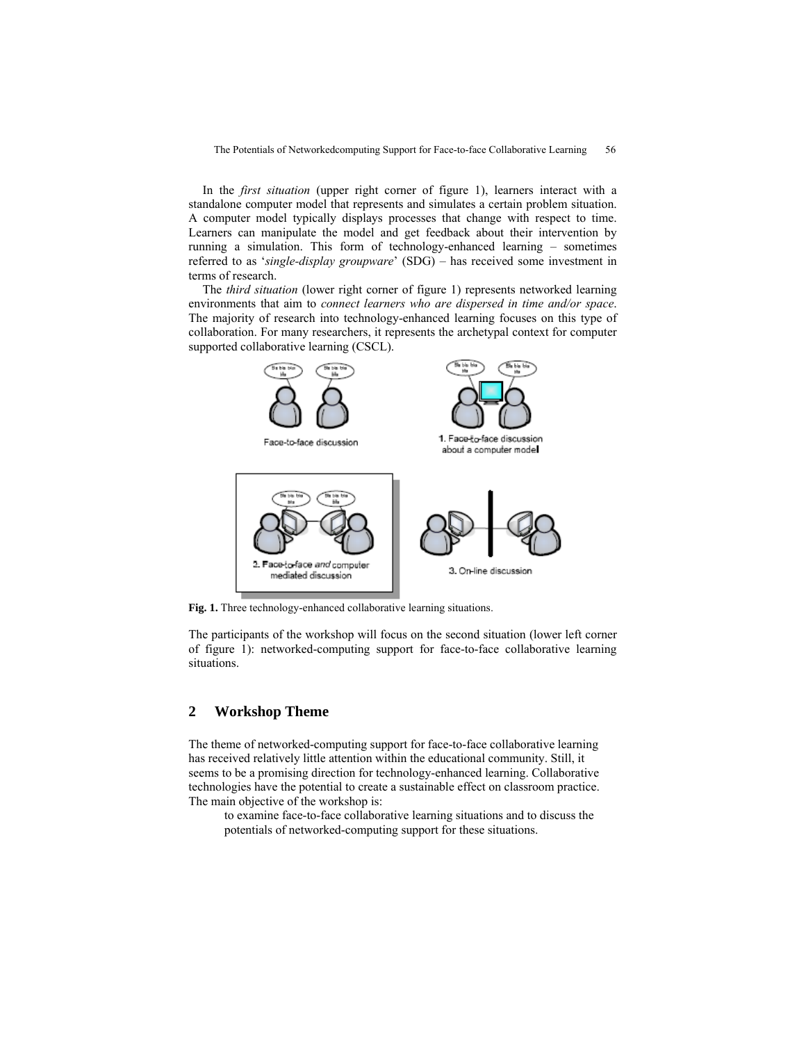In the *first situation* (upper right corner of figure 1), learners interact with a standalone computer model that represents and simulates a certain problem situation. A computer model typically displays processes that change with respect to time. Learners can manipulate the model and get feedback about their intervention by running a simulation. This form of technology-enhanced learning – sometimes referred to as '*single-display groupware*' (SDG) – has received some investment in terms of research.

The *third situation* (lower right corner of figure 1) represents networked learning environments that aim to *connect learners who are dispersed in time and/or space*. The majority of research into technology-enhanced learning focuses on this type of collaboration. For many researchers, it represents the archetypal context for computer supported collaborative learning (CSCL).



Fig. 1. Three technology-enhanced collaborative learning situations.

The participants of the workshop will focus on the second situation (lower left corner of figure 1): networked-computing support for face-to-face collaborative learning situations.

## **2 Workshop Theme**

The theme of networked-computing support for face-to-face collaborative learning has received relatively little attention within the educational community. Still, it seems to be a promising direction for technology-enhanced learning. Collaborative technologies have the potential to create a sustainable effect on classroom practice. The main objective of the workshop is:

to examine face-to-face collaborative learning situations and to discuss the potentials of networked-computing support for these situations.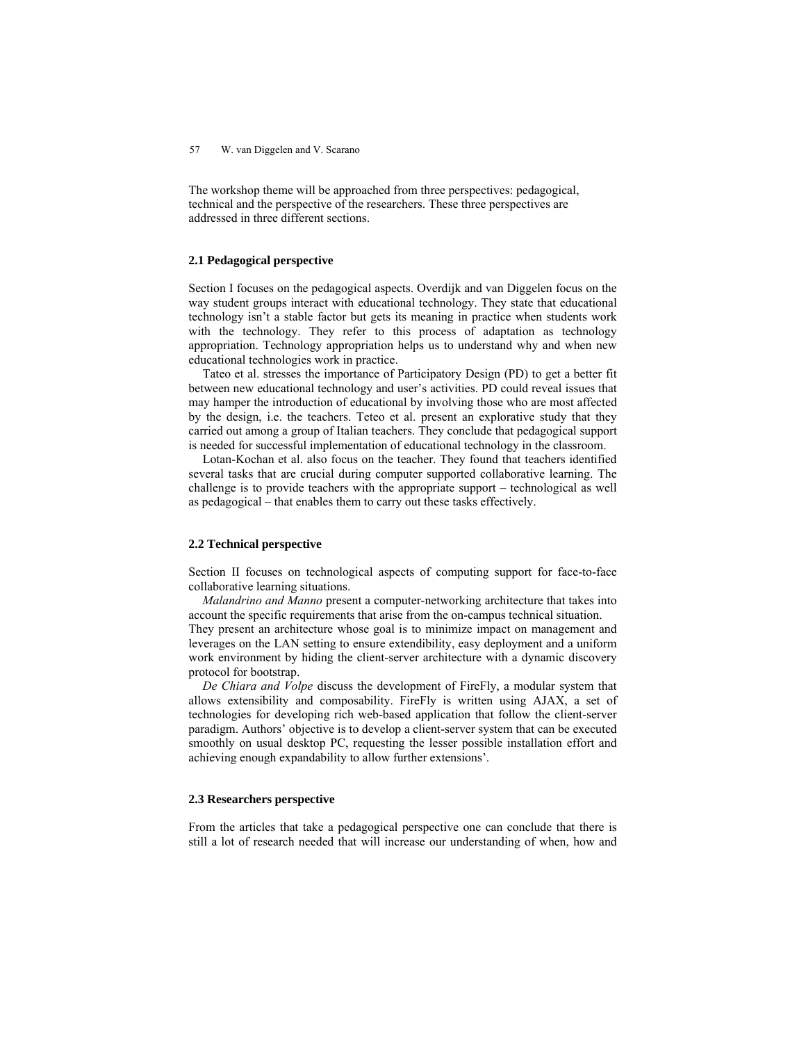#### 57 W. van Diggelen and V. Scarano

The workshop theme will be approached from three perspectives: pedagogical, technical and the perspective of the researchers. These three perspectives are addressed in three different sections.

## **2.1 Pedagogical perspective**

Section I focuses on the pedagogical aspects. Overdijk and van Diggelen focus on the way student groups interact with educational technology. They state that educational technology isn't a stable factor but gets its meaning in practice when students work with the technology. They refer to this process of adaptation as technology appropriation. Technology appropriation helps us to understand why and when new educational technologies work in practice.

Tateo et al. stresses the importance of Participatory Design (PD) to get a better fit between new educational technology and user's activities. PD could reveal issues that may hamper the introduction of educational by involving those who are most affected by the design, i.e. the teachers. Teteo et al. present an explorative study that they carried out among a group of Italian teachers. They conclude that pedagogical support is needed for successful implementation of educational technology in the classroom.

Lotan-Kochan et al. also focus on the teacher. They found that teachers identified several tasks that are crucial during computer supported collaborative learning. The challenge is to provide teachers with the appropriate support – technological as well as pedagogical – that enables them to carry out these tasks effectively.

#### **2.2 Technical perspective**

Section II focuses on technological aspects of computing support for face-to-face collaborative learning situations.

*Malandrino and Manno* present a computer-networking architecture that takes into account the specific requirements that arise from the on-campus technical situation. They present an architecture whose goal is to minimize impact on management and leverages on the LAN setting to ensure extendibility, easy deployment and a uniform work environment by hiding the client-server architecture with a dynamic discovery protocol for bootstrap.

*De Chiara and Volpe* discuss the development of FireFly, a modular system that allows extensibility and composability. FireFly is written using AJAX, a set of technologies for developing rich web-based application that follow the client-server paradigm. Authors' objective is to develop a client-server system that can be executed smoothly on usual desktop PC, requesting the lesser possible installation effort and achieving enough expandability to allow further extensions'.

#### **2.3 Researchers perspective**

From the articles that take a pedagogical perspective one can conclude that there is still a lot of research needed that will increase our understanding of when, how and